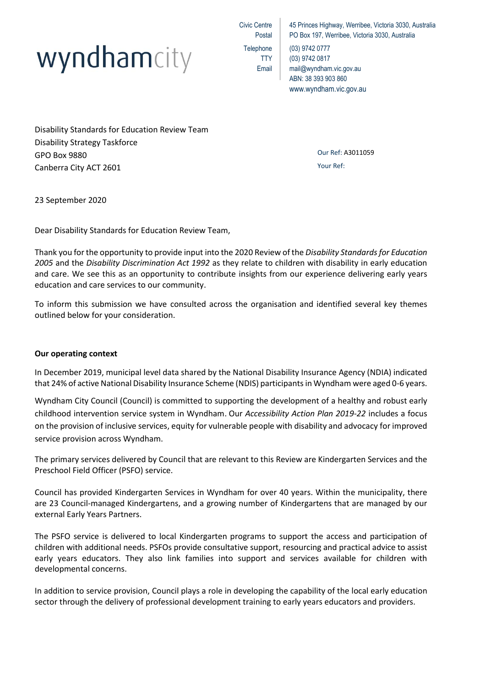

Civic Centre Postal **Telephone** TTY Email

45 Princes Highway, Werribee, Victoria 3030, Australia PO Box 197, Werribee, Victoria 3030, Australia

(03) 9742 0777 (03) 9742 0817 mail@wyndham.vic.gov.au ABN: 38 393 903 860 www.wyndham.vic.gov.au

Disability Standards for Education Review Team Disability Strategy Taskforce GPO Box 9880 Canberra City ACT 2601

Our Ref: A3011059 Your Ref:

23 September 2020

Dear Disability Standards for Education Review Team,

Thank you for the opportunity to provide input into the 2020 Review of the *Disability Standards for Education 2005* and the *Disability Discrimination Act 1992* as they relate to children with disability in early education and care. We see this as an opportunity to contribute insights from our experience delivering early years education and care services to our community.

To inform this submission we have consulted across the organisation and identified several key themes outlined below for your consideration.

# **Our operating context**

In December 2019, municipal level data shared by the National Disability Insurance Agency (NDIA) indicated that 24% of active National Disability Insurance Scheme (NDIS) participants in Wyndham were aged 0-6 years.

Wyndham City Council (Council) is committed to supporting the development of a healthy and robust early childhood intervention service system in Wyndham. Our *Accessibility Action Plan 2019-22* includes a focus on the provision of inclusive services, equity for vulnerable people with disability and advocacy for improved service provision across Wyndham.

The primary services delivered by Council that are relevant to this Review are Kindergarten Services and the Preschool Field Officer (PSFO) service.

Council has provided Kindergarten Services in Wyndham for over 40 years. Within the municipality, there are 23 Council-managed Kindergartens, and a growing number of Kindergartens that are managed by our external Early Years Partners.

The PSFO service is delivered to local Kindergarten programs to support the access and participation of children with additional needs. PSFOs provide consultative support, resourcing and practical advice to assist early years educators. They also link families into support and services available for children with developmental concerns.

In addition to service provision, Council plays a role in developing the capability of the local early education sector through the delivery of professional development training to early years educators and providers.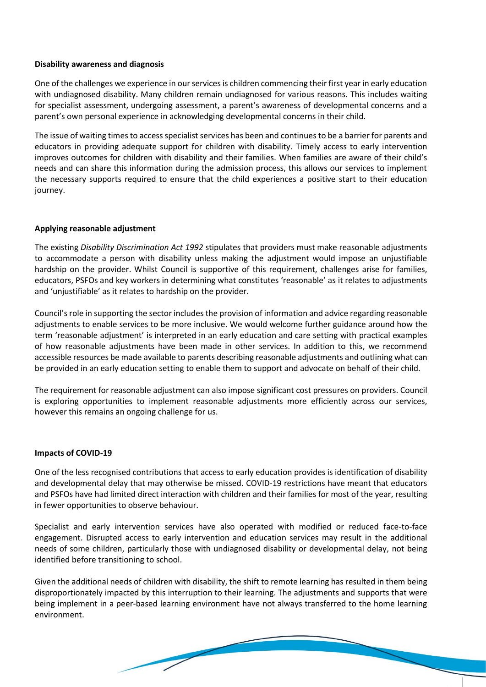### **Disability awareness and diagnosis**

One of the challenges we experience in our services is children commencing their first year in early education with undiagnosed disability. Many children remain undiagnosed for various reasons. This includes waiting for specialist assessment, undergoing assessment, a parent's awareness of developmental concerns and a parent's own personal experience in acknowledging developmental concerns in their child.

The issue of waiting times to access specialist services has been and continues to be a barrier for parents and educators in providing adequate support for children with disability. Timely access to early intervention improves outcomes for children with disability and their families. When families are aware of their child's needs and can share this information during the admission process, this allows our services to implement the necessary supports required to ensure that the child experiences a positive start to their education journey.

# **Applying reasonable adjustment**

The existing *Disability Discrimination Act 1992* stipulates that providers must make reasonable adjustments to accommodate a person with disability unless making the adjustment would impose an unjustifiable hardship on the provider. Whilst Council is supportive of this requirement, challenges arise for families, educators, PSFOs and key workers in determining what constitutes 'reasonable' as it relates to adjustments and 'unjustifiable' as it relates to hardship on the provider.

Council's role in supporting the sector includes the provision of information and advice regarding reasonable adjustments to enable services to be more inclusive. We would welcome further guidance around how the term 'reasonable adjustment' is interpreted in an early education and care setting with practical examples of how reasonable adjustments have been made in other services. In addition to this, we recommend accessible resources be made available to parents describing reasonable adjustments and outlining what can be provided in an early education setting to enable them to support and advocate on behalf of their child.

The requirement for reasonable adjustment can also impose significant cost pressures on providers. Council is exploring opportunities to implement reasonable adjustments more efficiently across our services, however this remains an ongoing challenge for us.

#### **Impacts of COVID-19**

One of the less recognised contributions that access to early education provides is identification of disability and developmental delay that may otherwise be missed. COVID-19 restrictions have meant that educators and PSFOs have had limited direct interaction with children and their families for most of the year, resulting in fewer opportunities to observe behaviour.

Specialist and early intervention services have also operated with modified or reduced face-to-face engagement. Disrupted access to early intervention and education services may result in the additional needs of some children, particularly those with undiagnosed disability or developmental delay, not being identified before transitioning to school.

Given the additional needs of children with disability, the shift to remote learning has resulted in them being disproportionately impacted by this interruption to their learning. The adjustments and supports that were being implement in a peer-based learning environment have not always transferred to the home learning environment.